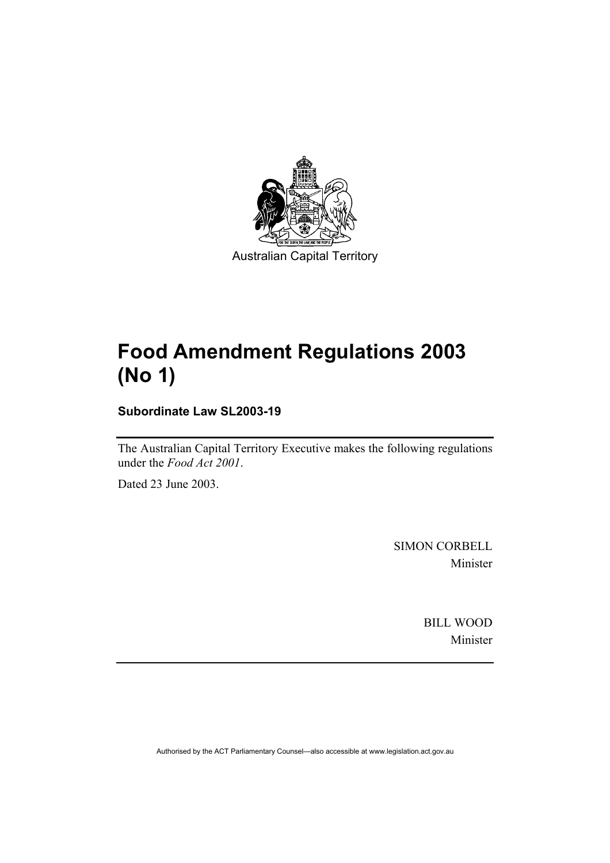

Australian Capital Territory

# **Food Amendment Regulations 2003 (No 1)**

**Subordinate Law SL2003-19** 

The Australian Capital Territory Executive makes the following regulations under the *Food Act 2001*.

Dated 23 June 2003.

SIMON CORBELL Minister

> BILL WOOD Minister

Authorised by the ACT Parliamentary Counsel—also accessible at www.legislation.act.gov.au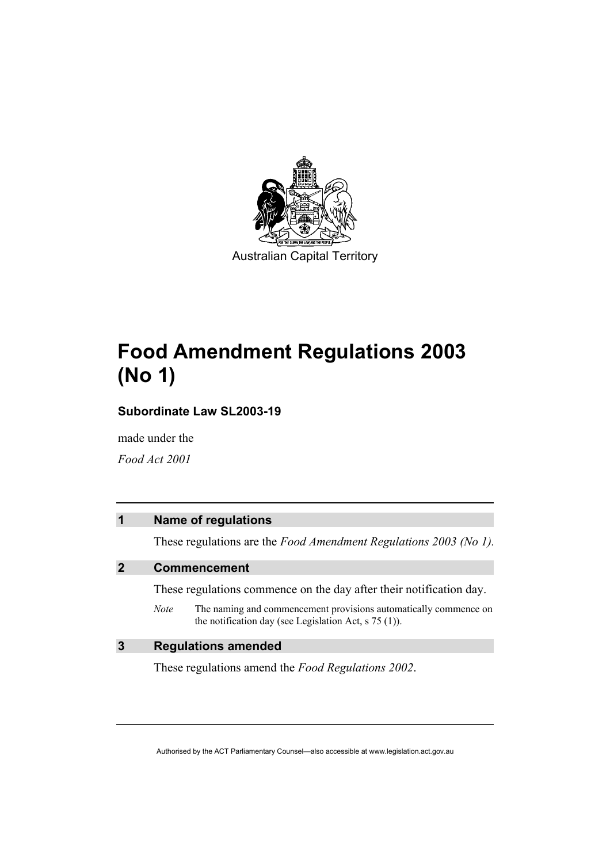

Australian Capital Territory

# **Food Amendment Regulations 2003 (No 1)**

**Subordinate Law SL2003-19** 

made under the

*Food Act 2001* 

# **1 Name of regulations**

These regulations are the *Food Amendment Regulations 2003 (No 1).*

# **2 Commencement**

These regulations commence on the day after their notification day.

*Note* The naming and commencement provisions automatically commence on the notification day (see Legislation Act, s 75 (1)).

# **3 Regulations amended**

These regulations amend the *Food Regulations 2002*.

Authorised by the ACT Parliamentary Counsel—also accessible at www.legislation.act.gov.au